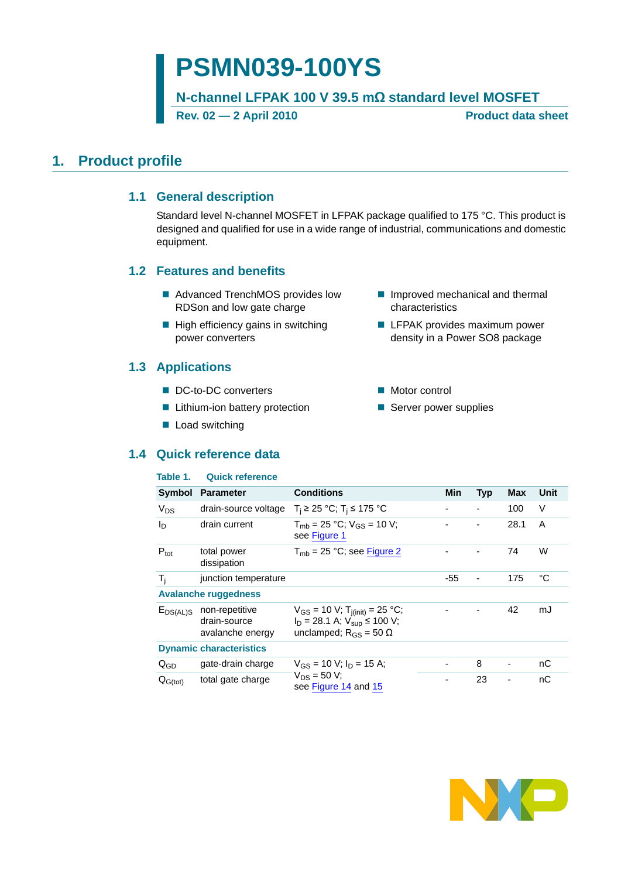# **PSMN039-100YS**

**N-channel LFPAK 100 V 39.5 mΩ standard level MOSFET**

Rev. 02 — 2 April 2010 **Product data sheet** 

## <span id="page-0-1"></span><span id="page-0-0"></span>**1. Product profile**

### **1.1 General description**

Standard level N-channel MOSFET in LFPAK package qualified to 175 °C. This product is designed and qualified for use in a wide range of industrial, communications and domestic equipment.

### <span id="page-0-2"></span>**1.2 Features and benefits**

- Advanced TrenchMOS provides low RDSon and low gate charge
- $\blacksquare$  High efficiency gains in switching power converters

### <span id="page-0-3"></span>**1.3 Applications**

- DC-to-DC converters
- **Lithium-ion battery protection**
- **Load switching**

### <span id="page-0-4"></span>**1.4 Quick reference data**

#### **Table 1. Quick reference**

- **Improved mechanical and thermal** characteristics
- **LFPAK provides maximum power** density in a Power SO8 package
- Motor control
- Server power supplies

| 10 M G T.        | <b>WUIVA TUIGI GITUG</b>                           |                                                                                                                           |                |            |            |             |
|------------------|----------------------------------------------------|---------------------------------------------------------------------------------------------------------------------------|----------------|------------|------------|-------------|
| <b>Symbol</b>    | <b>Parameter</b>                                   | <b>Conditions</b>                                                                                                         | Min            | <b>Typ</b> | <b>Max</b> | <b>Unit</b> |
| $V_{DS}$         | drain-source voltage                               | $T_i$ ≥ 25 °C; T <sub>i</sub> ≤ 175 °C                                                                                    | $\blacksquare$ |            | 100        | V           |
| I <sub>D</sub>   | drain current                                      | $T_{\rm mb}$ = 25 °C; $V_{\rm GS}$ = 10 V;<br>see Figure 1                                                                |                |            | 28.1       | A           |
| $P_{\text{tot}}$ | total power<br>dissipation                         | $T_{mb}$ = 25 °C; see Figure 2                                                                                            |                |            | 74         | W           |
| $T_i$            | junction temperature                               |                                                                                                                           | $-55$          |            | 175        | °C          |
|                  | <b>Avalanche ruggedness</b>                        |                                                                                                                           |                |            |            |             |
| $E_{DS(AL)S}$    | non-repetitive<br>drain-source<br>avalanche energy | $V_{GS}$ = 10 V; T <sub>j(init)</sub> = 25 °C;<br>$I_D = 28.1$ A; $V_{sub} \le 100$ V;<br>unclamped; $R_{GS} = 50 \Omega$ |                |            | 42         | mJ          |
|                  | <b>Dynamic characteristics</b>                     |                                                                                                                           |                |            |            |             |
| $Q_{GD}$         | gate-drain charge                                  | $V_{GS}$ = 10 V; $I_D$ = 15 A;                                                                                            |                | 8          |            | nC          |
| $Q_{G(tot)}$     | total gate charge                                  | $V_{DS} = 50 V;$<br>see Figure 14 and 15                                                                                  | -              | 23         |            | nС          |

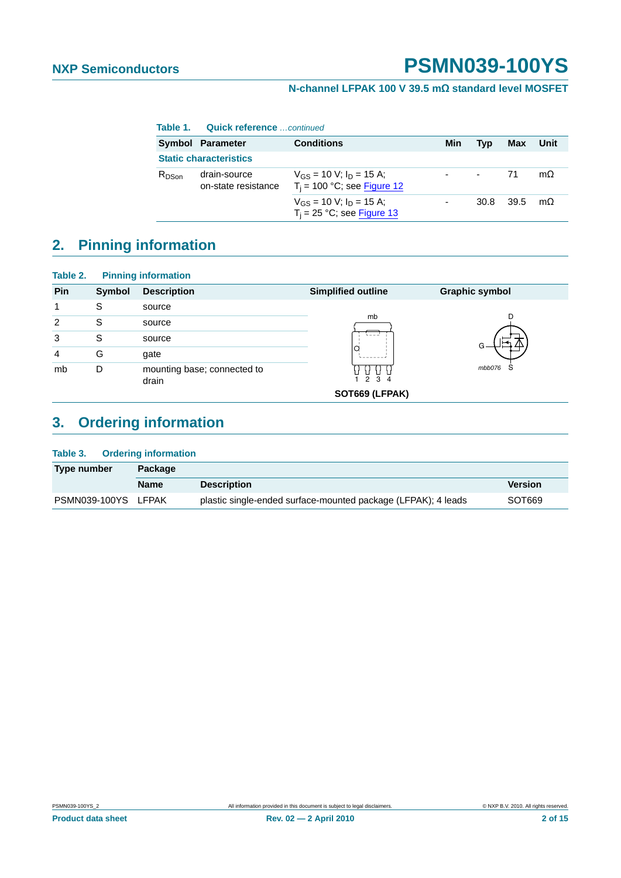### **N-channel LFPAK 100 V 39.5 mΩ standard level MOSFET**

|            | Table 1. Quick reference  continued   |                                                                 |     |                |           |           |
|------------|---------------------------------------|-----------------------------------------------------------------|-----|----------------|-----------|-----------|
|            | <b>Conditions</b><br>Symbol Parameter |                                                                 | Min | Tvp            | Max       | Unit      |
|            | <b>Static characteristics</b>         |                                                                 |     |                |           |           |
| $R_{DSon}$ | drain-source<br>on-state resistance   | $V_{GS}$ = 10 V; $I_D$ = 15 A;<br>$T_i$ = 100 °C; see Figure 12 |     | $\blacksquare$ | 71        | $m\Omega$ |
|            |                                       | $V_{GS}$ = 10 V; $I_D$ = 15 A;<br>$T_i = 25 °C$ ; see Figure 13 |     |                | 30.8 39.5 | $m\Omega$ |

## <span id="page-1-0"></span>**2. Pinning information**

| Table 2.       |        | <b>Pinning information</b>           |                           |                       |
|----------------|--------|--------------------------------------|---------------------------|-----------------------|
| Pin            | Symbol | <b>Description</b>                   | <b>Simplified outline</b> | <b>Graphic symbol</b> |
| 1              | S      | source                               |                           |                       |
| $\overline{2}$ | S      | source                               | mb                        |                       |
| 3              | S      | source                               |                           |                       |
| 4              | G      | gate                                 |                           |                       |
| mb             | D      | mounting base; connected to<br>drain | 2 3 4                     | mbb076<br>S           |
|                |        |                                      | SOT669 (LFPAK)            |                       |

## <span id="page-1-1"></span>**3. Ordering information**

| Table 3.            | <b>Ordering information</b> |                                                               |                |  |  |  |  |
|---------------------|-----------------------------|---------------------------------------------------------------|----------------|--|--|--|--|
| Type number         | Package                     |                                                               |                |  |  |  |  |
|                     | <b>Name</b>                 | <b>Description</b>                                            | <b>Version</b> |  |  |  |  |
| PSMN039-100YS LFPAK |                             | plastic single-ended surface-mounted package (LFPAK); 4 leads | SOT669         |  |  |  |  |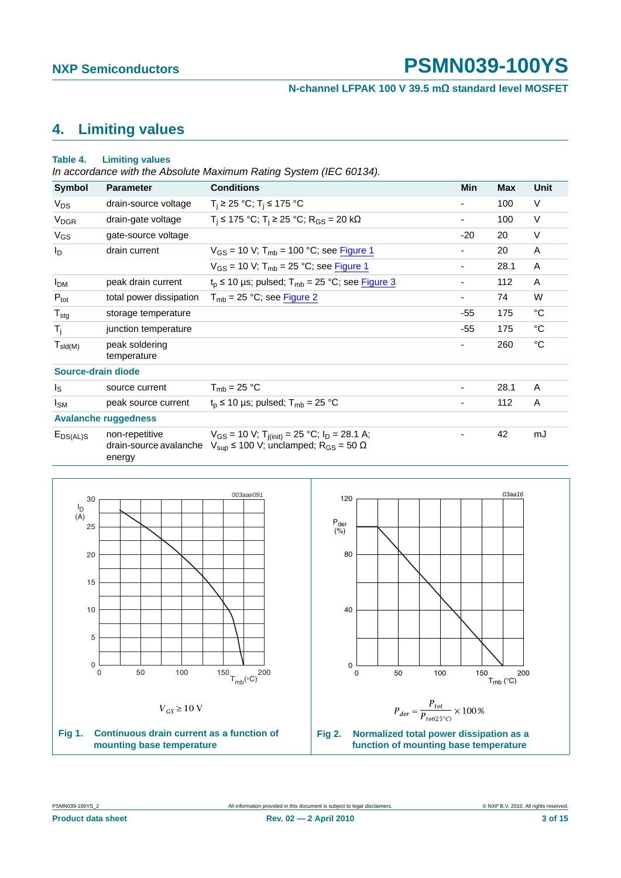**N-channel LFPAK 100 V 39.5 mΩ standard level MOSFET**

## <span id="page-2-2"></span>**4. Limiting values**

#### **Table 4. Limiting values**

*In accordance with the Absolute Maximum Rating System (IEC 60134).*

| <b>Symbol</b>          | <b>Parameter</b>                                   | <b>Conditions</b>                                                                                                                             | Min                      | <b>Max</b> | <b>Unit</b> |
|------------------------|----------------------------------------------------|-----------------------------------------------------------------------------------------------------------------------------------------------|--------------------------|------------|-------------|
| $V_{DS}$               | drain-source voltage                               | $T_i$ ≥ 25 °C; T <sub>i</sub> ≤ 175 °C                                                                                                        | $\overline{\phantom{0}}$ | 100        | V           |
| <b>V<sub>DGR</sub></b> | drain-gate voltage                                 | $T_i$ ≤ 175 °C; T <sub>i</sub> ≥ 25 °C; R <sub>GS</sub> = 20 kΩ                                                                               | ۰                        | 100        | V           |
| $V_{GS}$               | gate-source voltage                                |                                                                                                                                               | -20                      | 20         | $\vee$      |
| $I_D$                  | drain current                                      | $V_{GS}$ = 10 V; T <sub>mb</sub> = 100 °C; see Figure 1                                                                                       |                          | 20         | A           |
|                        |                                                    | $V_{GS}$ = 10 V; T <sub>mb</sub> = 25 °C; see Figure 1                                                                                        | ۰                        | 28.1       | Α           |
| <b>I<sub>DM</sub></b>  | peak drain current                                 | $t_p \le 10$ µs; pulsed; $T_{mb} = 25$ °C; see Figure 3                                                                                       |                          | 112        | Α           |
| $P_{\text{tot}}$       | total power dissipation                            | $T_{mb}$ = 25 °C; see Figure 2                                                                                                                | ۰.                       | 74         | W           |
| $T_{\text{stg}}$       | storage temperature                                |                                                                                                                                               | -55                      | 175        | $^{\circ}C$ |
| $T_{j}$                | junction temperature                               |                                                                                                                                               | -55                      | 175        | $^{\circ}C$ |
| $T_{\text{sld(M)}}$    | peak soldering<br>temperature                      |                                                                                                                                               | ۰                        | 260        | °C          |
| Source-drain diode     |                                                    |                                                                                                                                               |                          |            |             |
| Is                     | source current                                     | $T_{mb}$ = 25 °C                                                                                                                              |                          | 28.1       | A           |
| $I_{SM}$               | peak source current                                | $t_{p} \le 10$ µs; pulsed; $T_{mb} = 25$ °C                                                                                                   | ۰                        | 112        | A           |
|                        | <b>Avalanche ruggedness</b>                        |                                                                                                                                               |                          |            |             |
| $E_{DS(AL)S}$          | non-repetitive<br>drain-source avalanche<br>energy | $V_{GS}$ = 10 V; T <sub>j(init)</sub> = 25 °C; I <sub>D</sub> = 28.1 A;<br>$V_{\text{sup}}$ ≤ 100 V; unclamped; R <sub>GS</sub> = 50 $\Omega$ |                          | 42         | mJ          |



<span id="page-2-1"></span><span id="page-2-0"></span>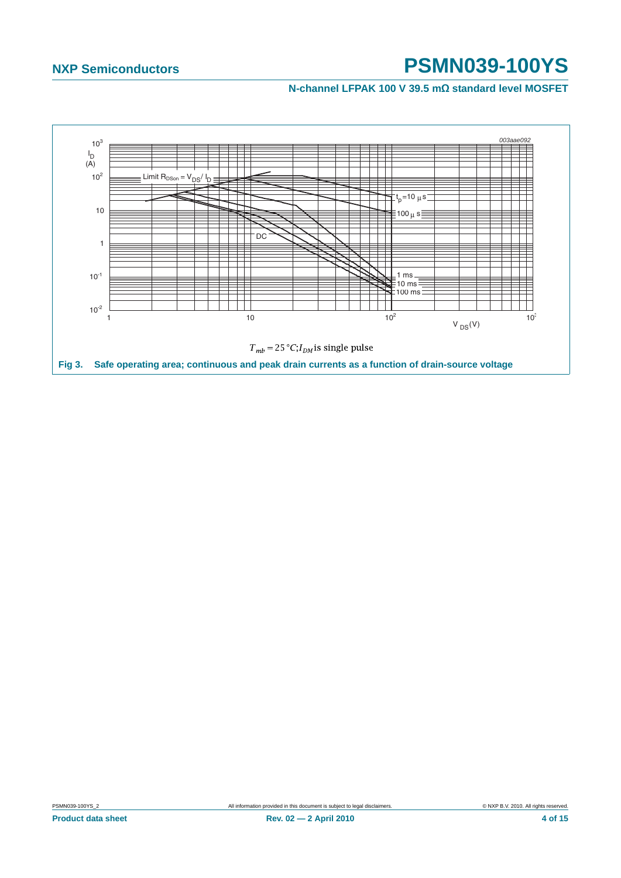<span id="page-3-0"></span>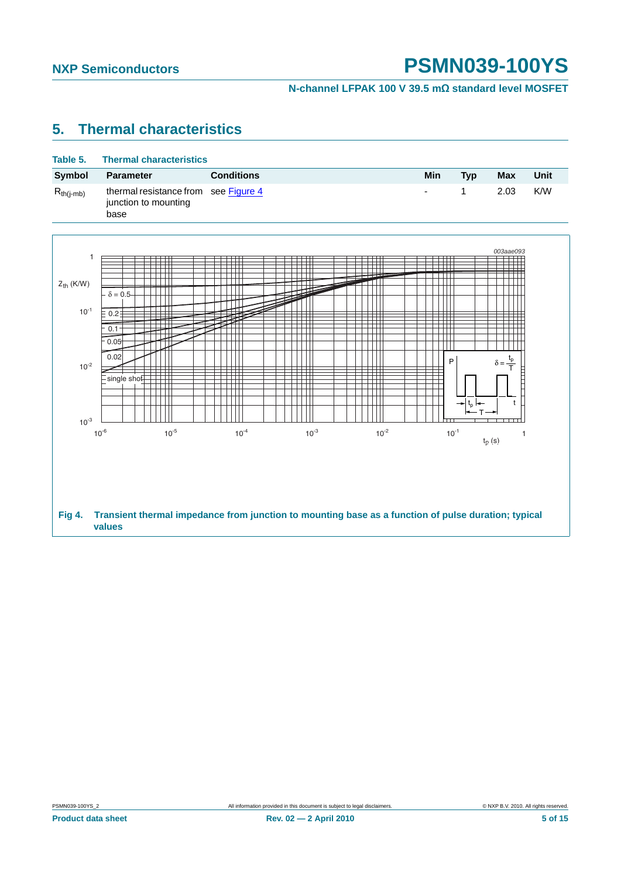**N-channel LFPAK 100 V 39.5 mΩ standard level MOSFET**

## <span id="page-4-1"></span>**5. Thermal characteristics**

<span id="page-4-0"></span>

| Table 5.       | <b>Thermal characteristics</b>                          |                                                                                                     |     |                                                                    |                            |      |
|----------------|---------------------------------------------------------|-----------------------------------------------------------------------------------------------------|-----|--------------------------------------------------------------------|----------------------------|------|
| Symbol         | <b>Parameter</b>                                        | <b>Conditions</b>                                                                                   | Min | <b>Typ</b>                                                         | <b>Max</b>                 | Unit |
| $R_{th(j-mb)}$ | thermal resistance from<br>junction to mounting<br>base | see Figure 4                                                                                        |     | 1                                                                  | 2.03                       | K/W  |
|                |                                                         |                                                                                                     |     |                                                                    | 003aae093                  |      |
| 1              |                                                         | ┯<br>ПT<br>ПT<br>$\blacksquare$<br>$\perp$                                                          |     |                                                                    |                            |      |
| $Z_{th}$ (K/W) | $\delta = 0.5 -$                                        | ┯                                                                                                   |     |                                                                    |                            |      |
| $10^{-1}$      | $\equiv$ 0.2 $\pm$<br>0.1                               |                                                                                                     |     |                                                                    |                            |      |
|                | 0.05                                                    |                                                                                                     |     |                                                                    |                            |      |
| $10^{-2}$      | 0.02<br>$\frac{1}{2}$ single shot $\frac{1}{2}$         |                                                                                                     |     | P                                                                  | $\delta = \frac{t_{p}}{T}$ |      |
|                |                                                         |                                                                                                     |     | $\left. \qquad \qquad \bullet \right  t_{p}\left  \bullet \right $ | t                          |      |
| $10^{-3}$      |                                                         |                                                                                                     |     |                                                                    |                            |      |
|                | $10^{-5}$<br>$10^{-6}$                                  | $10^{-3}$<br>$10^{-2}$<br>$10^{-4}$                                                                 |     | $10^{-1}$                                                          | 1<br>$t_p(s)$              |      |
|                |                                                         |                                                                                                     |     |                                                                    |                            |      |
|                |                                                         |                                                                                                     |     |                                                                    |                            |      |
| <b>Fig 4.</b>  | values                                                  | Transient thermal impedance from junction to mounting base as a function of pulse duration; typical |     |                                                                    |                            |      |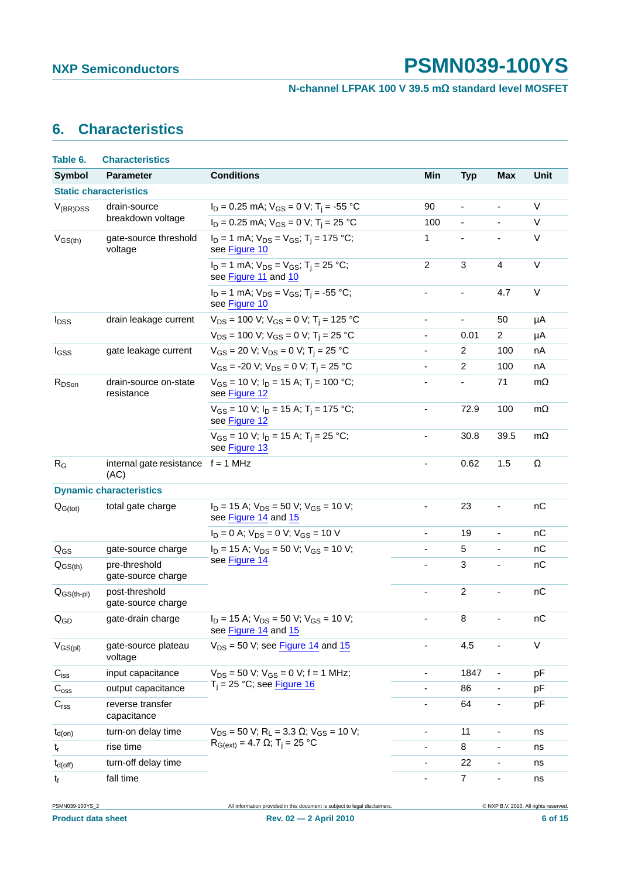**N-channel LFPAK 100 V 39.5 mΩ standard level MOSFET**

## <span id="page-5-0"></span>**6. Characteristics**

| Table 6.                   | <b>Characteristics</b>                       |                                                                                   |                          |                |                              |           |
|----------------------------|----------------------------------------------|-----------------------------------------------------------------------------------|--------------------------|----------------|------------------------------|-----------|
| <b>Symbol</b>              | <b>Parameter</b>                             | <b>Conditions</b>                                                                 | Min                      | <b>Typ</b>     | <b>Max</b>                   | Unit      |
|                            | <b>Static characteristics</b>                |                                                                                   |                          |                |                              |           |
| $V_{(BR)DSS}$              | drain-source                                 | $I_D = 0.25$ mA; $V_{GS} = 0$ V; T <sub>i</sub> = -55 °C                          | 90                       | ä,             | $\blacksquare$               | V         |
|                            | breakdown voltage                            | $I_D = 0.25$ mA; $V_{GS} = 0$ V; T <sub>i</sub> = 25 °C                           | 100                      | $\blacksquare$ | $\overline{\phantom{a}}$     | V         |
| $V_{GS(th)}$               | gate-source threshold<br>voltage             | $I_D = 1$ mA; $V_{DS} = V_{GS}$ ; T <sub>i</sub> = 175 °C;<br>see Figure 10       | 1                        |                |                              | V         |
|                            |                                              | $I_D = 1$ mA; $V_{DS} = V_{GS}$ ; T <sub>i</sub> = 25 °C;<br>see Figure 11 and 10 | $\overline{c}$           | 3              | 4                            | $\vee$    |
|                            |                                              | $I_D = 1$ mA; $V_{DS} = V_{GS}$ ; T <sub>i</sub> = -55 °C;<br>see Figure 10       | ÷,                       | $\blacksquare$ | 4.7                          | V         |
| <b>I</b> <sub>DSS</sub>    | drain leakage current                        | $V_{DS}$ = 100 V; V <sub>GS</sub> = 0 V; T <sub>i</sub> = 125 °C                  | $\overline{\phantom{a}}$ | $\frac{1}{2}$  | 50                           | μA        |
|                            |                                              | $V_{DS}$ = 100 V; V <sub>GS</sub> = 0 V; T <sub>i</sub> = 25 °C                   | $\overline{\phantom{a}}$ | 0.01           | $\overline{2}$               | μA        |
| I <sub>GSS</sub>           | gate leakage current                         | $V_{GS}$ = 20 V; $V_{DS}$ = 0 V; T <sub>i</sub> = 25 °C                           |                          | $\overline{2}$ | 100                          | nA        |
|                            |                                              | $V_{GS}$ = -20 V; $V_{DS}$ = 0 V; T <sub>i</sub> = 25 °C                          |                          | $\overline{2}$ | 100                          | nA        |
| R <sub>DSon</sub>          | drain-source on-state<br>resistance          | $V_{GS}$ = 10 V; $I_D$ = 15 A; T <sub>i</sub> = 100 °C;<br>see Figure 12          |                          |                | 71                           | $m\Omega$ |
|                            |                                              | $V_{GS}$ = 10 V; $I_D$ = 15 A; T <sub>i</sub> = 175 °C;<br>see Figure 12          | $\blacksquare$           | 72.9           | 100                          | $m\Omega$ |
|                            |                                              | $V_{GS}$ = 10 V; $I_D$ = 15 A; T <sub>i</sub> = 25 °C;<br>see Figure 13           | $\blacksquare$           | 30.8           | 39.5                         | $m\Omega$ |
| $R_G$                      | internal gate resistance $f = 1$ MHz<br>(AC) |                                                                                   |                          | 0.62           | 1.5                          | Ω         |
|                            | <b>Dynamic characteristics</b>               |                                                                                   |                          |                |                              |           |
| $Q_{G(tot)}$               | total gate charge                            | $I_D = 15$ A; $V_{DS} = 50$ V; $V_{GS} = 10$ V;<br>see Figure 14 and 15           |                          | 23             |                              | nC        |
|                            |                                              | $I_D = 0$ A; $V_{DS} = 0$ V; $V_{GS} = 10$ V                                      | $\blacksquare$           | 19             | $\overline{\phantom{a}}$     | nC        |
| $Q_{GS}$                   | gate-source charge                           | $I_D = 15$ A; $V_{DS} = 50$ V; $V_{GS} = 10$ V;                                   |                          | 5              | $\frac{1}{2}$                | nC        |
| $Q_{GS(th)}$               | pre-threshold<br>gate-source charge          | see Figure 14                                                                     |                          | 3              |                              | nC        |
| $Q_{GS(th-pl)}$            | post-threshold<br>gate-source charge         |                                                                                   | $\blacksquare$           | $\overline{c}$ | $\overline{\phantom{a}}$     | nC        |
| $\mathsf{Q}_{\mathsf{GD}}$ | gate-drain charge                            | $I_D = 15$ A; $V_{DS} = 50$ V; $V_{GS} = 10$ V;<br>see Figure 14 and 15           |                          | 8              | $\blacksquare$               | nC        |
| $V_{GS(pl)}$               | gate-source plateau<br>voltage               | $V_{DS}$ = 50 V; see Figure 14 and 15                                             |                          | 4.5            |                              | V         |
| $C_{iss}$                  | input capacitance                            | $V_{DS}$ = 50 V; $V_{GS}$ = 0 V; f = 1 MHz;                                       |                          | 1847           |                              | pF        |
| $C_{\rm oss}$              | output capacitance                           | $T_i = 25 °C$ ; see Figure 16                                                     |                          | 86             |                              | pF        |
| C <sub>rss</sub>           | reverse transfer<br>capacitance              |                                                                                   |                          | 64             | $\overline{\phantom{a}}$     | pF        |
| $t_{d(on)}$                | turn-on delay time                           | $V_{DS}$ = 50 V; R <sub>L</sub> = 3.3 $\Omega$ ; V <sub>GS</sub> = 10 V;          |                          | 11             |                              | ns        |
| $t_r$                      | rise time                                    | $R_{G(ext)} = 4.7 \Omega$ ; T <sub>i</sub> = 25 °C                                |                          | 8              |                              | ns        |
| $t_{d(off)}$               | turn-off delay time                          |                                                                                   |                          | 22             | $\qquad \qquad \blacksquare$ | ns        |
| $t_f$                      | fall time                                    |                                                                                   | $\blacksquare$           | $\overline{7}$ | $\qquad \qquad \blacksquare$ | ns        |

**Product data sheet 6 of 15 Rev. 02 — 2 April 2010 10 <b>COVER 6 of 15 6 of 15**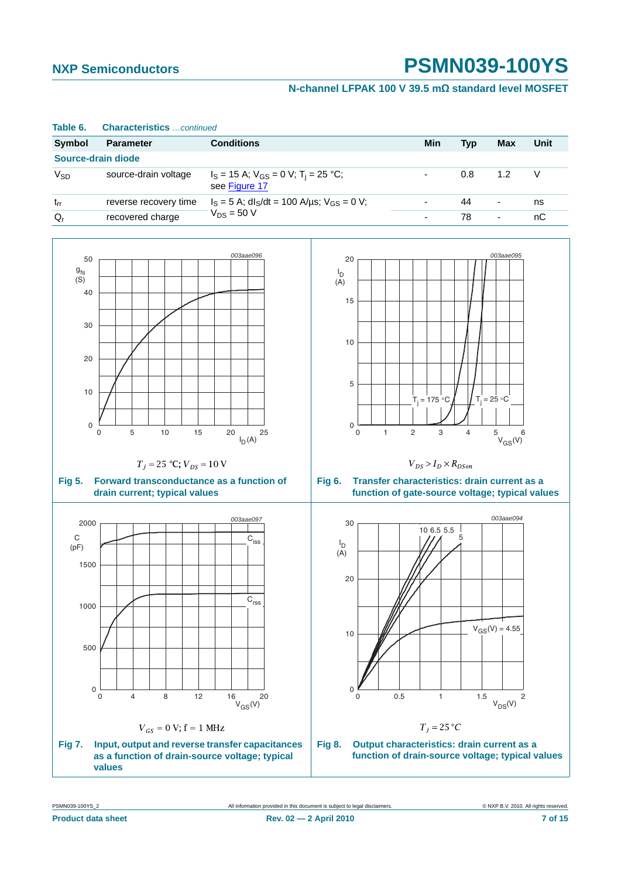### **N-channel LFPAK 100 V 39.5 mΩ standard level MOSFET**

| Source-drain diode                                                                                    |                                                                                                                                          |                                                                                             |                                                                                   |                                                                                                                                                                            |                |                                                                  |        |
|-------------------------------------------------------------------------------------------------------|------------------------------------------------------------------------------------------------------------------------------------------|---------------------------------------------------------------------------------------------|-----------------------------------------------------------------------------------|----------------------------------------------------------------------------------------------------------------------------------------------------------------------------|----------------|------------------------------------------------------------------|--------|
| <b>V<sub>SD</sub></b>                                                                                 | source-drain voltage                                                                                                                     | $I_S = 15$ A; $V_{GS} = 0$ V; T <sub>i</sub> = 25 °C;<br>see Figure 17                      |                                                                                   |                                                                                                                                                                            | 0.8            | 1.2                                                              | $\vee$ |
| $t_{rr}$                                                                                              | reverse recovery time                                                                                                                    | $I_S = 5$ A; dl <sub>S</sub> /dt = 100 A/µs; $V_{GS} = 0$ V;                                |                                                                                   |                                                                                                                                                                            | 44             | $\overline{\phantom{a}}$                                         | ns     |
| $Q_r$                                                                                                 | recovered charge                                                                                                                         | $V_{DS}$ = 50 V                                                                             |                                                                                   | $\blacksquare$                                                                                                                                                             | 78             | $\blacksquare$                                                   | nC     |
| 50<br>$g_{\mathsf{fs}}$<br>(S)<br>40<br>30<br>20<br>10<br>$\mathsf 0$<br>$\mathbf 0$<br><b>Fig 5.</b> | 5<br>10<br>15<br>$T_j = 25 °C; V_{DS} = 10 V$<br>Forward transconductance as a function of<br>drain current; typical values              | 003aae096<br>20<br>25<br>$I_D(A)$                                                           | 20<br>$I_D$<br>(A)<br>15<br>10<br>5<br>0<br>$\mathbf 0$<br>$\mathbf{1}$<br>Fig 6. | $T_i = 175 °C$<br>$\overline{c}$<br>3<br>$V_{DS} > I_D \times R_{DSon}$<br>Transfer characteristics: drain current as a<br>function of gate-source voltage; typical values | $\overline{4}$ | 003aae095<br>$T_i = 25 °C$<br>$5$ $V_{GS}(V)$                    |        |
| 2000<br>$\mathsf C$<br>(pF)<br>1500<br>1000<br>500<br>$\mathsf 0$<br>$\mathsf 0$                      | 8<br>$\overline{4}$<br>12                                                                                                                | 003aae097<br>$C_{\text{iss}}$<br>$\mathsf{\bar{C}_{\text{rss}}}$<br>16<br>20<br>$V_{GS}(V)$ | 30<br>$I_D$<br>(A)<br>20<br>10<br>0<br>0                                          | 10 6.5 5.5<br>0.5<br>$\mathbf{1}$                                                                                                                                          | 5<br>1.5       | 003aae094<br>$V_{GS}(V) = 4.55$<br>$\overline{c}$<br>$V_{DS}(V)$ |        |
| <b>Fig 7.</b>                                                                                         | $V_{GS} = 0$ V; f = 1 MHz<br>Input, output and reverse transfer capacitances<br>as a function of drain-source voltage; typical<br>values |                                                                                             | Fig 8.                                                                            | $T_j = 25^{\circ}C$<br>Output characteristics: drain current as a<br>function of drain-source voltage; typical values                                                      |                |                                                                  |        |

**Symbol Parameter Conditions Min Typ Max Unit**

#### **Table 6. Characteristics** *…continued*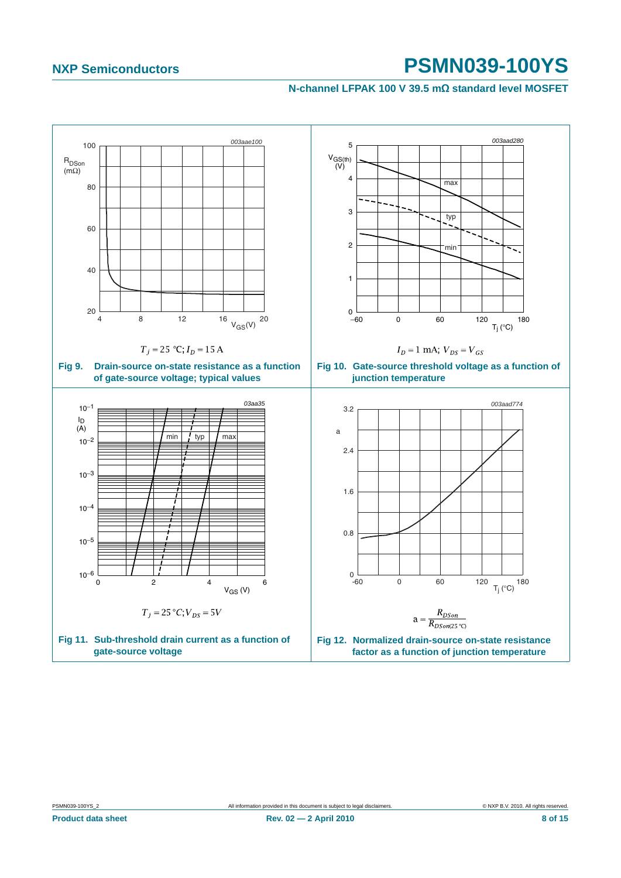<span id="page-7-2"></span><span id="page-7-1"></span><span id="page-7-0"></span>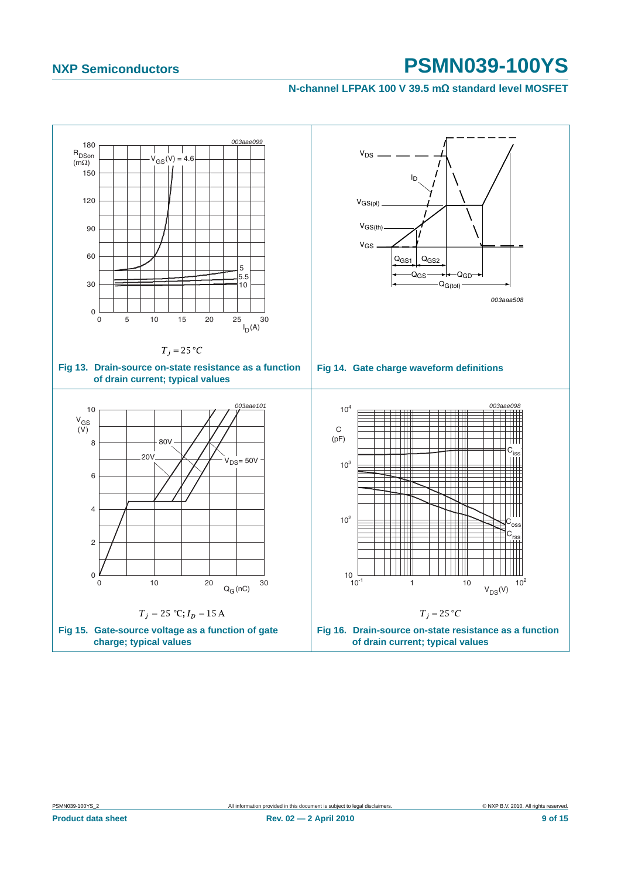<span id="page-8-3"></span><span id="page-8-2"></span><span id="page-8-1"></span><span id="page-8-0"></span>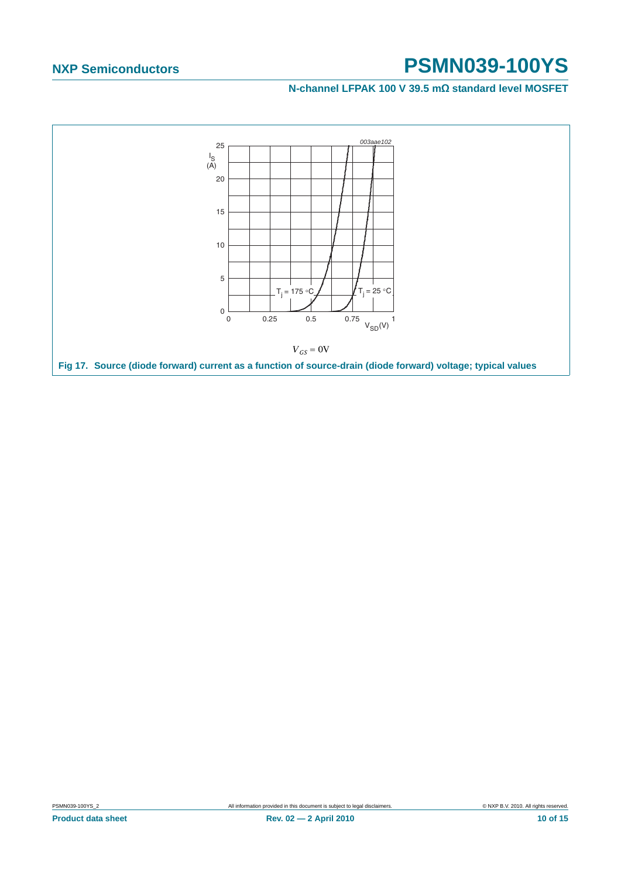<span id="page-9-0"></span>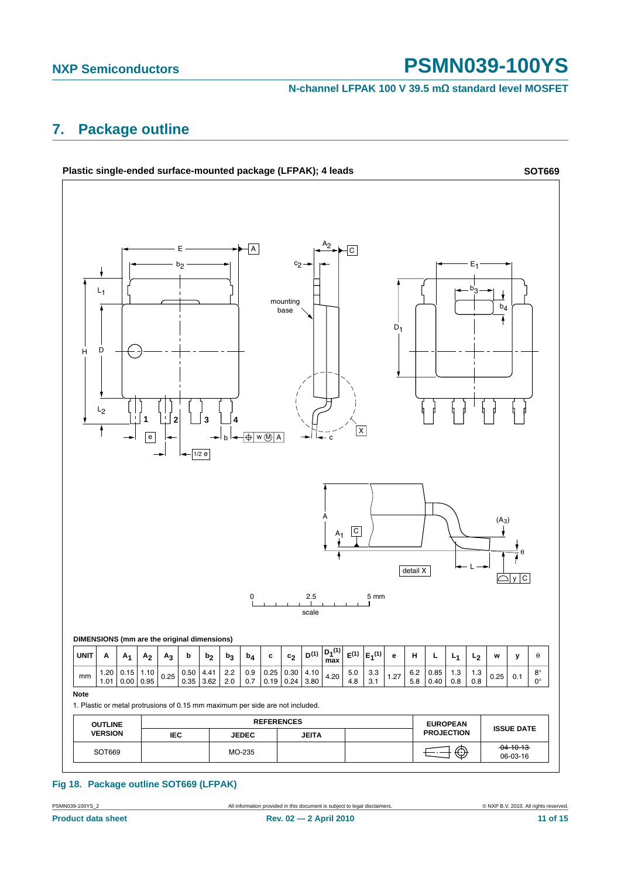**N-channel LFPAK 100 V 39.5 mΩ standard level MOSFET**

## <span id="page-10-0"></span>**7. Package outline**



#### **Fig 18. Package outline SOT669 (LFPAK)**

**Product data sheet 11 of 15** Rev. 02 - 2 April 2010 11 06 15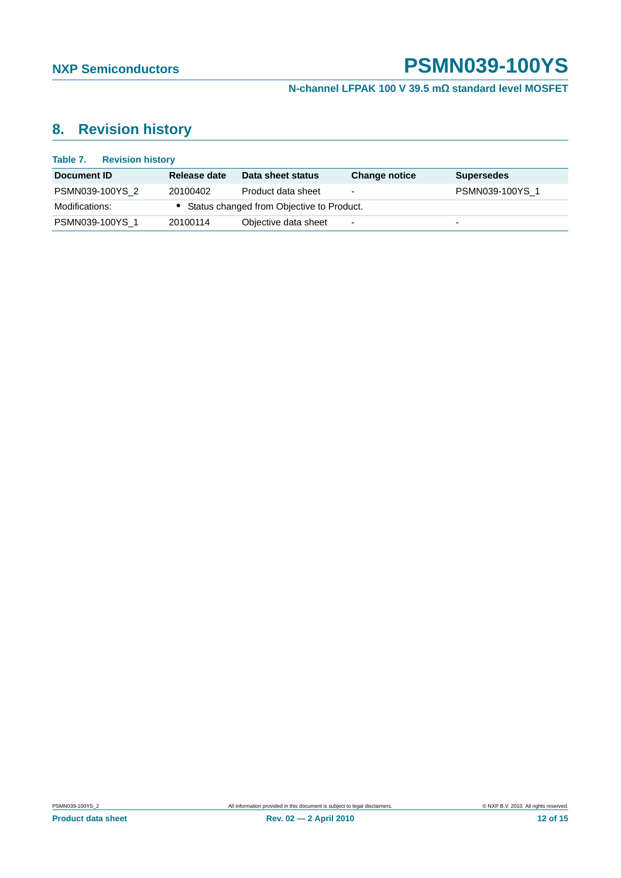**N-channel LFPAK 100 V 39.5 mΩ standard level MOSFET**

## <span id="page-11-0"></span>**8. Revision history**

| Table 7.<br><b>Revision history</b> |              |                                             |                          |                   |
|-------------------------------------|--------------|---------------------------------------------|--------------------------|-------------------|
| Document ID                         | Release date | Data sheet status                           | <b>Change notice</b>     | <b>Supersedes</b> |
| PSMN039-100YS 2                     | 20100402     | Product data sheet                          | $\overline{\phantom{0}}$ | PSMN039-100YS 1   |
| Modifications:                      |              | • Status changed from Objective to Product. |                          |                   |
| PSMN039-100YS 1                     | 20100114     | Objective data sheet                        | $\overline{\phantom{a}}$ | -                 |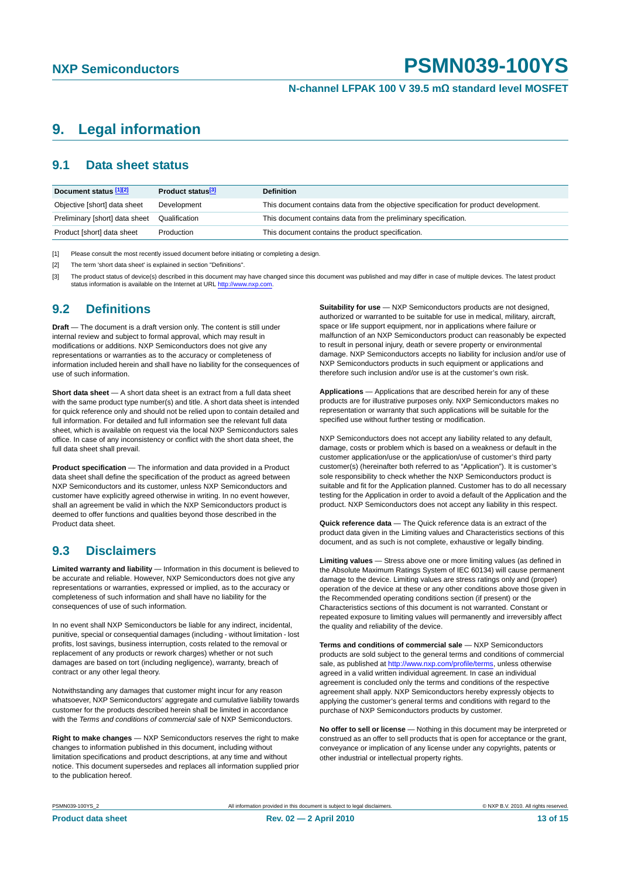## <span id="page-12-3"></span>**9. Legal information**

#### <span id="page-12-4"></span>**9.1 Data sheet status**

| Document status [1][2]         | Product status <sup>[3]</sup> | <b>Definition</b>                                                                     |
|--------------------------------|-------------------------------|---------------------------------------------------------------------------------------|
| Objective [short] data sheet   | Development                   | This document contains data from the objective specification for product development. |
| Preliminary [short] data sheet | Qualification                 | This document contains data from the preliminary specification.                       |
| Product [short] data sheet     | Production                    | This document contains the product specification.                                     |

<span id="page-12-0"></span>[1] Please consult the most recently issued document before initiating or completing a design.

<span id="page-12-1"></span>[2] The term 'short data sheet' is explained in section "Definitions".

<span id="page-12-2"></span>[3] The product status of device(s) described in this document may have changed since this document was published and may differ in case of multiple devices. The latest product status information is available on the Internet at URL http://www.nxp.com.

#### <span id="page-12-5"></span>**9.2 Definitions**

**Draft** — The document is a draft version only. The content is still under internal review and subject to formal approval, which may result in modifications or additions. NXP Semiconductors does not give any representations or warranties as to the accuracy or completeness of information included herein and shall have no liability for the consequences of use of such information.

**Short data sheet** — A short data sheet is an extract from a full data sheet with the same product type number(s) and title. A short data sheet is intended for quick reference only and should not be relied upon to contain detailed and full information. For detailed and full information see the relevant full data sheet, which is available on request via the local NXP Semiconductors sales office. In case of any inconsistency or conflict with the short data sheet, the full data sheet shall prevail.

**Product specification** — The information and data provided in a Product data sheet shall define the specification of the product as agreed between NXP Semiconductors and its customer, unless NXP Semiconductors and customer have explicitly agreed otherwise in writing. In no event however, shall an agreement be valid in which the NXP Semiconductors product is deemed to offer functions and qualities beyond those described in the Product data sheet.

### <span id="page-12-6"></span>**9.3 Disclaimers**

**Limited warranty and liability** — Information in this document is believed to be accurate and reliable. However, NXP Semiconductors does not give any representations or warranties, expressed or implied, as to the accuracy or completeness of such information and shall have no liability for the consequences of use of such information.

In no event shall NXP Semiconductors be liable for any indirect, incidental, punitive, special or consequential damages (including - without limitation - lost profits, lost savings, business interruption, costs related to the removal or replacement of any products or rework charges) whether or not such damages are based on tort (including negligence), warranty, breach of contract or any other legal theory.

Notwithstanding any damages that customer might incur for any reason whatsoever, NXP Semiconductors' aggregate and cumulative liability towards customer for the products described herein shall be limited in accordance with the *Terms and conditions of commercial sale* of NXP Semiconductors.

**Right to make changes** — NXP Semiconductors reserves the right to make changes to information published in this document, including without limitation specifications and product descriptions, at any time and without notice. This document supersedes and replaces all information supplied prior to the publication hereof.

**Suitability for use** — NXP Semiconductors products are not designed. authorized or warranted to be suitable for use in medical, military, aircraft, space or life support equipment, nor in applications where failure or malfunction of an NXP Semiconductors product can reasonably be expected to result in personal injury, death or severe property or environmental damage. NXP Semiconductors accepts no liability for inclusion and/or use of NXP Semiconductors products in such equipment or applications and therefore such inclusion and/or use is at the customer's own risk.

**Applications** — Applications that are described herein for any of these products are for illustrative purposes only. NXP Semiconductors makes no representation or warranty that such applications will be suitable for the specified use without further testing or modification.

NXP Semiconductors does not accept any liability related to any default, damage, costs or problem which is based on a weakness or default in the customer application/use or the application/use of customer's third party customer(s) (hereinafter both referred to as "Application"). It is customer's sole responsibility to check whether the NXP Semiconductors product is suitable and fit for the Application planned. Customer has to do all necessary testing for the Application in order to avoid a default of the Application and the product. NXP Semiconductors does not accept any liability in this respect.

**Quick reference data** — The Quick reference data is an extract of the product data given in the Limiting values and Characteristics sections of this document, and as such is not complete, exhaustive or legally binding.

**Limiting values** — Stress above one or more limiting values (as defined in the Absolute Maximum Ratings System of IEC 60134) will cause permanent damage to the device. Limiting values are stress ratings only and (proper) operation of the device at these or any other conditions above those given in the Recommended operating conditions section (if present) or the Characteristics sections of this document is not warranted. Constant or repeated exposure to limiting values will permanently and irreversibly affect the quality and reliability of the device.

**Terms and conditions of commercial sale** — NXP Semiconductors products are sold subject to the general terms and conditions of commercial sale, as published at http://www.nxp.com/profile/terms, unless otherwise agreed in a valid written individual agreement. In case an individual agreement is concluded only the terms and conditions of the respective agreement shall apply. NXP Semiconductors hereby expressly objects to applying the customer's general terms and conditions with regard to the purchase of NXP Semiconductors products by customer.

**No offer to sell or license** — Nothing in this document may be interpreted or construed as an offer to sell products that is open for acceptance or the grant, conveyance or implication of any license under any copyrights, patents or other industrial or intellectual property rights.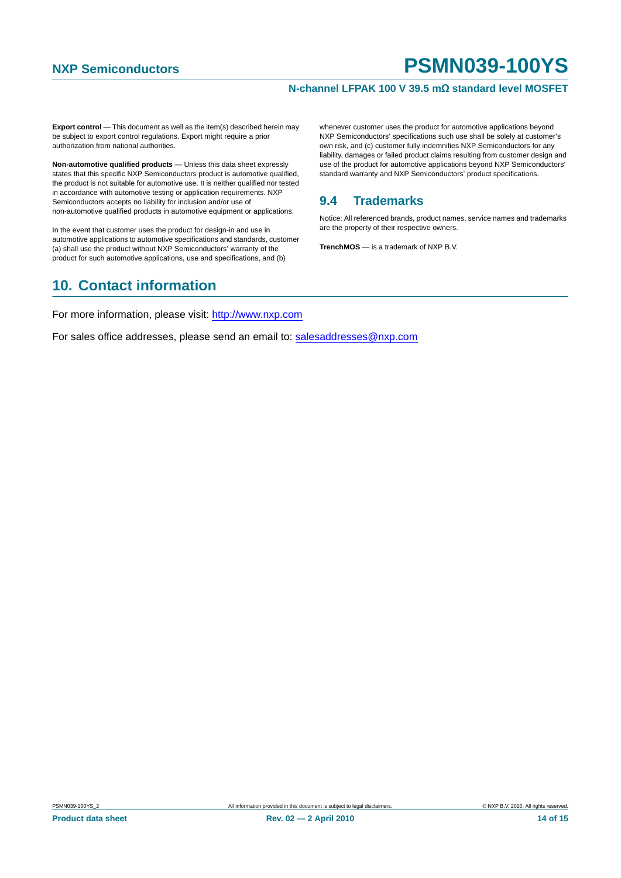#### **N-channel LFPAK 100 V 39.5 mΩ standard level MOSFET**

**Export control** — This document as well as the item(s) described herein may be subject to export control regulations. Export might require a prior authorization from national authorities.

**Non-automotive qualified products** — Unless this data sheet expressly states that this specific NXP Semiconductors product is automotive qualified, the product is not suitable for automotive use. It is neither qualified nor tested in accordance with automotive testing or application requirements. NXP Semiconductors accepts no liability for inclusion and/or use of non-automotive qualified products in automotive equipment or applications.

In the event that customer uses the product for design-in and use in automotive applications to automotive specifications and standards, customer (a) shall use the product without NXP Semiconductors' warranty of the product for such automotive applications, use and specifications, and (b)

## <span id="page-13-1"></span>**10. Contact information**

whenever customer uses the product for automotive applications beyond NXP Semiconductors' specifications such use shall be solely at customer's own risk, and (c) customer fully indemnifies NXP Semiconductors for any liability, damages or failed product claims resulting from customer design and use of the product for automotive applications beyond NXP Semiconductors' standard warranty and NXP Semiconductors' product specifications.

## <span id="page-13-0"></span>**9.4 Trademarks**

Notice: All referenced brands, product names, service names and trademarks are the property of their respective owners.

**TrenchMOS** — is a trademark of NXP B.V.

For more information, please visit: http://www.nxp.com

For sales office addresses, please send an email to: salesaddresses@nxp.com